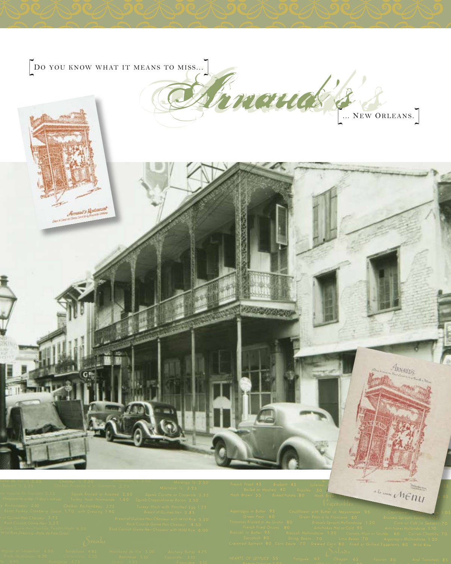